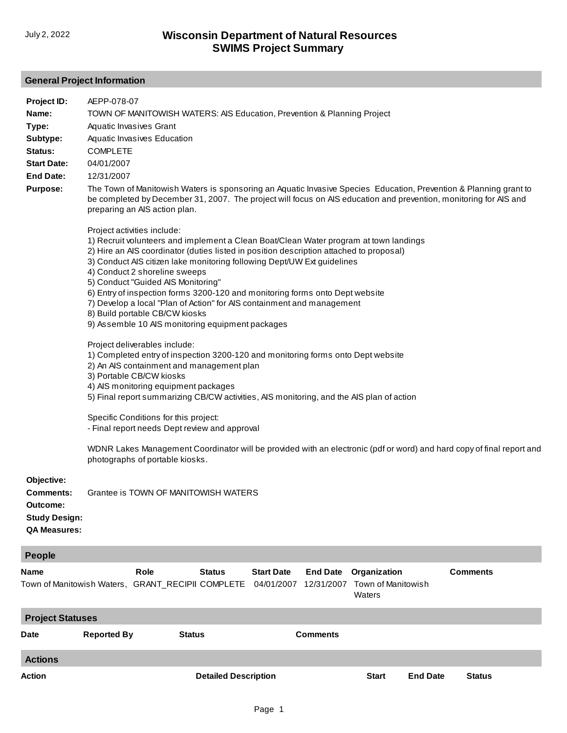## **General Project Information**

| Project ID:<br>Name:<br>Type:<br>Subtype:<br>Status:<br><b>Start Date:</b><br><b>End Date:</b><br><b>Purpose:</b> | AEPP-078-07<br>TOWN OF MANITOWISH WATERS: AIS Education, Prevention & Planning Project<br>Aquatic Invasives Grant<br>Aquatic Invasives Education<br><b>COMPLETE</b><br>04/01/2007<br>12/31/2007<br>The Town of Manitowish Waters is sponsoring an Aquatic Invasive Species Education, Prevention & Planning grant to<br>be completed by December 31, 2007. The project will focus on AIS education and prevention, monitoring for AIS and<br>preparing an AIS action plan.                                                                                                                                                                                                                                                                                                                                                                                                                                                                                                                                                                                                                                                                                             |                             |                                 |                               |                                              |                 |                 |  |
|-------------------------------------------------------------------------------------------------------------------|------------------------------------------------------------------------------------------------------------------------------------------------------------------------------------------------------------------------------------------------------------------------------------------------------------------------------------------------------------------------------------------------------------------------------------------------------------------------------------------------------------------------------------------------------------------------------------------------------------------------------------------------------------------------------------------------------------------------------------------------------------------------------------------------------------------------------------------------------------------------------------------------------------------------------------------------------------------------------------------------------------------------------------------------------------------------------------------------------------------------------------------------------------------------|-----------------------------|---------------------------------|-------------------------------|----------------------------------------------|-----------------|-----------------|--|
|                                                                                                                   | Project activities include:<br>1) Recruit volunteers and implement a Clean Boat/Clean Water program at town landings<br>2) Hire an AIS coordinator (duties listed in position description attached to proposal)<br>3) Conduct AIS citizen lake monitoring following Dept/UW Ext guidelines<br>4) Conduct 2 shoreline sweeps<br>5) Conduct "Guided AIS Monitoring"<br>6) Entry of inspection forms 3200-120 and monitoring forms onto Dept website<br>7) Develop a local "Plan of Action" for AIS containment and management<br>8) Build portable CB/CW kiosks<br>9) Assemble 10 AIS monitoring equipment packages<br>Project deliverables include:<br>1) Completed entry of inspection 3200-120 and monitoring forms onto Dept website<br>2) An AIS containment and management plan<br>3) Portable CB/CW kiosks<br>4) AIS monitoring equipment packages<br>5) Final report summarizing CB/CW activities, AIS monitoring, and the AIS plan of action<br>Specific Conditions for this project:<br>- Final report needs Dept review and approval<br>WDNR Lakes Management Coordinator will be provided with an electronic (pdf or word) and hard copy of final report and |                             |                                 |                               |                                              |                 |                 |  |
|                                                                                                                   |                                                                                                                                                                                                                                                                                                                                                                                                                                                                                                                                                                                                                                                                                                                                                                                                                                                                                                                                                                                                                                                                                                                                                                        |                             |                                 |                               |                                              |                 |                 |  |
| Objective:<br><b>Comments:</b><br>Outcome:<br><b>Study Design:</b><br><b>QA Measures:</b>                         | photographs of portable kiosks.<br>Grantee is TOWN OF MANITOWISH WATERS                                                                                                                                                                                                                                                                                                                                                                                                                                                                                                                                                                                                                                                                                                                                                                                                                                                                                                                                                                                                                                                                                                |                             |                                 |                               |                                              |                 |                 |  |
| <b>People</b>                                                                                                     |                                                                                                                                                                                                                                                                                                                                                                                                                                                                                                                                                                                                                                                                                                                                                                                                                                                                                                                                                                                                                                                                                                                                                                        |                             |                                 |                               |                                              |                 |                 |  |
| Name                                                                                                              | Role<br>Town of Manitowish Waters, GRANT_RECIPII COMPLETE                                                                                                                                                                                                                                                                                                                                                                                                                                                                                                                                                                                                                                                                                                                                                                                                                                                                                                                                                                                                                                                                                                              | <b>Status</b>               | <b>Start Date</b><br>04/01/2007 | <b>End Date</b><br>12/31/2007 | Organization<br>Town of Manitowish<br>Waters |                 | <b>Comments</b> |  |
| <b>Project Statuses</b>                                                                                           |                                                                                                                                                                                                                                                                                                                                                                                                                                                                                                                                                                                                                                                                                                                                                                                                                                                                                                                                                                                                                                                                                                                                                                        |                             |                                 |                               |                                              |                 |                 |  |
| Date                                                                                                              | <b>Reported By</b>                                                                                                                                                                                                                                                                                                                                                                                                                                                                                                                                                                                                                                                                                                                                                                                                                                                                                                                                                                                                                                                                                                                                                     | <b>Status</b>               |                                 | <b>Comments</b>               |                                              |                 |                 |  |
| <b>Actions</b>                                                                                                    |                                                                                                                                                                                                                                                                                                                                                                                                                                                                                                                                                                                                                                                                                                                                                                                                                                                                                                                                                                                                                                                                                                                                                                        |                             |                                 |                               |                                              |                 |                 |  |
| Action                                                                                                            |                                                                                                                                                                                                                                                                                                                                                                                                                                                                                                                                                                                                                                                                                                                                                                                                                                                                                                                                                                                                                                                                                                                                                                        | <b>Detailed Description</b> |                                 |                               | <b>Start</b>                                 | <b>End Date</b> | <b>Status</b>   |  |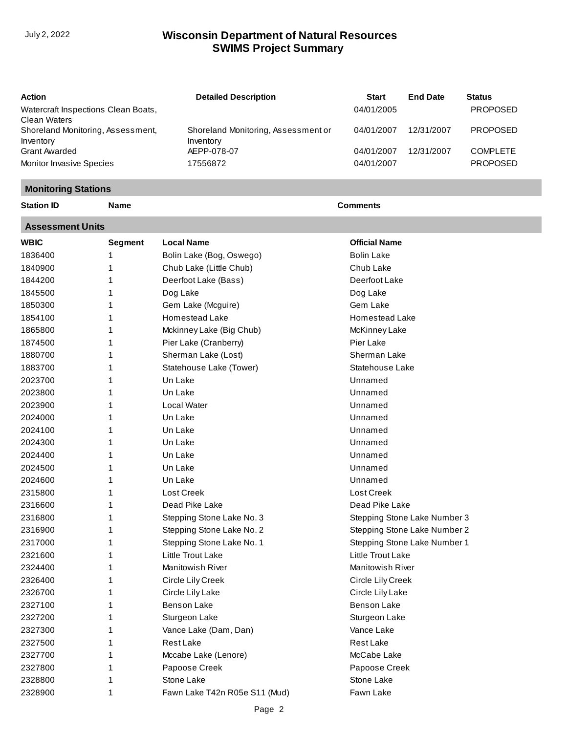## **SWIMS Project Summary** July 2, 2022 **Wisconsin Department of Natural Resources**

| Action                              | <b>Detailed Description</b>         | <b>Start</b> | <b>End Date</b> | <b>Status</b>   |
|-------------------------------------|-------------------------------------|--------------|-----------------|-----------------|
| Watercraft Inspections Clean Boats, |                                     | 04/01/2005   |                 | <b>PROPOSED</b> |
| Clean Waters                        |                                     |              |                 |                 |
| Shoreland Monitoring, Assessment,   | Shoreland Monitoring, Assessment or | 04/01/2007   | 12/31/2007      | <b>PROPOSED</b> |
| Inventory                           | Inventory                           |              |                 |                 |
| Grant Awarded                       | AEPP-078-07                         | 04/01/2007   | 12/31/2007      | <b>COMPLETE</b> |
| Monitor Invasive Species            | 17556872                            | 04/01/2007   |                 | <b>PROPOSED</b> |

## **Monitoring Stations**

**Station ID Name Comments**

**Assessment Units**

| <b>WBIC</b> | <b>Segment</b> | <b>Local Name</b>             | <b>Official Name</b>         |
|-------------|----------------|-------------------------------|------------------------------|
| 1836400     | 1              | Bolin Lake (Bog, Oswego)      | <b>Bolin Lake</b>            |
| 1840900     | 1              | Chub Lake (Little Chub)       | Chub Lake                    |
| 1844200     | 1              | Deerfoot Lake (Bass)          | Deerfoot Lake                |
| 1845500     | 1              | Dog Lake                      | Dog Lake                     |
| 1850300     | 1              | Gem Lake (Mcguire)            | Gem Lake                     |
| 1854100     | 1              | <b>Homestead Lake</b>         | Homestead Lake               |
| 1865800     | 1              | Mckinney Lake (Big Chub)      | McKinney Lake                |
| 1874500     | 1              | Pier Lake (Cranberry)         | Pier Lake                    |
| 1880700     | 1              | Sherman Lake (Lost)           | Sherman Lake                 |
| 1883700     | 1              | Statehouse Lake (Tower)       | Statehouse Lake              |
| 2023700     | 1              | Un Lake                       | Unnamed                      |
| 2023800     | 1              | Un Lake                       | Unnamed                      |
| 2023900     | 1              | Local Water                   | Unnamed                      |
| 2024000     | 1              | Un Lake                       | Unnamed                      |
| 2024100     | 1              | Un Lake                       | Unnamed                      |
| 2024300     | 1              | Un Lake                       | Unnamed                      |
| 2024400     | 1              | Un Lake                       | Unnamed                      |
| 2024500     | 1              | Un Lake                       | Unnamed                      |
| 2024600     | 1              | Un Lake                       | Unnamed                      |
| 2315800     | 1              | Lost Creek                    | Lost Creek                   |
| 2316600     | 1              | Dead Pike Lake                | Dead Pike Lake               |
| 2316800     | 1              | Stepping Stone Lake No. 3     | Stepping Stone Lake Number 3 |
| 2316900     | 1              | Stepping Stone Lake No. 2     | Stepping Stone Lake Number 2 |
| 2317000     | 1              | Stepping Stone Lake No. 1     | Stepping Stone Lake Number 1 |
| 2321600     | 1              | <b>Little Trout Lake</b>      | Little Trout Lake            |
| 2324400     | 1              | <b>Manitowish River</b>       | <b>Manitowish River</b>      |
| 2326400     | 1              | Circle Lily Creek             | Circle Lily Creek            |
| 2326700     | 1              | Circle Lily Lake              | Circle Lily Lake             |
| 2327100     | 1              | <b>Benson Lake</b>            | <b>Benson Lake</b>           |
| 2327200     | 1              | Sturgeon Lake                 | Sturgeon Lake                |
| 2327300     | 1              | Vance Lake (Dam, Dan)         | Vance Lake                   |
| 2327500     | 1              | Rest Lake                     | <b>Rest Lake</b>             |
| 2327700     | 1              | Mccabe Lake (Lenore)          | McCabe Lake                  |
| 2327800     | 1              | Papoose Creek                 | Papoose Creek                |
| 2328800     | 1              | Stone Lake                    | Stone Lake                   |
| 2328900     | 1              | Fawn Lake T42n R05e S11 (Mud) | Fawn Lake                    |